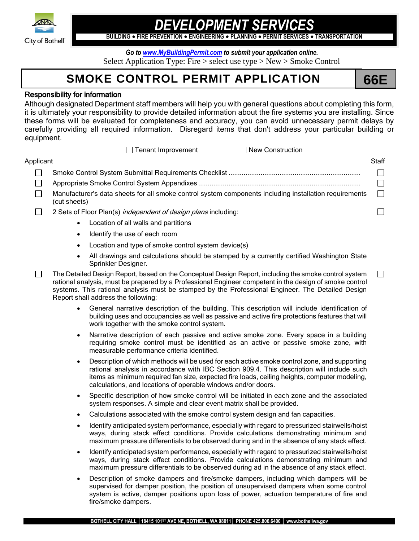

## *DEVELOPMENT SERVICES*

**BUILDING FIRE PREVENTION ENGINEERING PLANNING PERMIT SERVICES TRANSPORTATION**

*Go to [www.MyBuildingPermit.com](http://www.mybuildingpermit.com/) to submit your application online.* Select Application Type: Fire > select use type > New > Smoke Control

## **SMOKE CONTROL PERMIT APPLICATION 66E**

 $\Box$ 

#### Responsibility for information

Although designated Department staff members will help you with general questions about completing this form, it is ultimately your responsibility to provide detailed information about the fire systems you are installing. Since these forms will be evaluated for completeness and accuracy, you can avoid unnecessary permit delays by carefully providing all required information. Disregard items that don't address your particular building or equipment.

|           | FT renant improvement.<br><b>TINGW CONSULTERION</b>                                                                    |        |
|-----------|------------------------------------------------------------------------------------------------------------------------|--------|
| Applicant |                                                                                                                        | Staff  |
|           |                                                                                                                        |        |
|           |                                                                                                                        |        |
|           | Manufacturer's data sheets for all smoke control system components including installation requirements<br>(cut sheets) | $\Box$ |
|           | 2 Sets of Floor Plan(s) <i>independent of design plans</i> including:                                                  |        |

Tenant Improvement New Construction

- Location of all walls and partitions
	- Identify the use of each room
- Location and type of smoke control system device(s)
- All drawings and calculations should be stamped by a currently certified Washington State Sprinkler Designer.
- $\Box$ The Detailed Design Report, based on the Conceptual Design Report, including the smoke control system rational analysis, must be prepared by a Professional Engineer competent in the design of smoke control systems. This rational analysis must be stamped by the Professional Engineer. The Detailed Design Report shall address the following:
	- General narrative description of the building. This description will include identification of building uses and occupancies as well as passive and active fire protections features that will work together with the smoke control system.
	- Narrative description of each passive and active smoke zone. Every space in a building requiring smoke control must be identified as an active or passive smoke zone, with measurable performance criteria identified.
	- Description of which methods will be used for each active smoke control zone, and supporting rational analysis in accordance with IBC Section 909.4. This description will include such items as minimum required fan size, expected fire loads, ceiling heights, computer modeling, calculations, and locations of operable windows and/or doors.
	- Specific description of how smoke control will be initiated in each zone and the associated system responses. A simple and clear event matrix shall be provided.
	- Calculations associated with the smoke control system design and fan capacities.
	- Identify anticipated system performance, especially with regard to pressurized stairwells/hoist ways, during stack effect conditions. Provide calculations demonstrating minimum and maximum pressure differentials to be observed during and in the absence of any stack effect.
	- Identify anticipated system performance, especially with regard to pressurized stairwells/hoist ways, during stack effect conditions. Provide calculations demonstrating minimum and maximum pressure differentials to be observed during ad in the absence of any stack effect.
	- Description of smoke dampers and fire/smoke dampers, including which dampers will be supervised for damper position, the position of unsupervised dampers when some control system is active, damper positions upon loss of power, actuation temperature of fire and fire/smoke dampers.